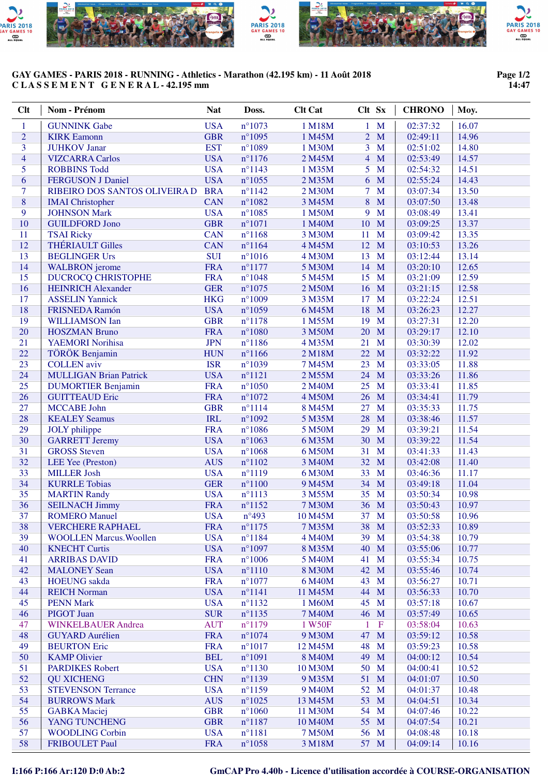

## **GAY GAMES - PARIS 2018 - RUNNING - Athletics - Marathon (42.195 km) - 11 Août 2018 C L A S S E M E N T G E N E R A L - 42.195 mm**

## **Page 1/2 14:47**

| $Cl$ t         | Nom - Prénom                   | <b>Nat</b> | Doss.            | <b>Clt Cat</b> | Clt Sx              | <b>CHRONO</b> | Moy.  |
|----------------|--------------------------------|------------|------------------|----------------|---------------------|---------------|-------|
| 1              | <b>GUNNINK Gabe</b>            | <b>USA</b> | $n^{\circ}1073$  | 1 M18M         | $1 \mathbf{M}$      | 02:37:32      | 16.07 |
| $\overline{2}$ | <b>KIRK</b> Eamonn             | <b>GBR</b> | $n^{\circ}1095$  | 1 M45M         | M<br>$\overline{2}$ | 02:49:11      | 14.96 |
| $\overline{3}$ | <b>JUHKOV Janar</b>            | <b>EST</b> | $n^{\circ}1089$  | 1 M30M         | $\overline{3}$<br>M | 02:51:02      | 14.80 |
| $\overline{4}$ | <b>VIZCARRA Carlos</b>         | <b>USA</b> | $n^{\circ}1176$  | 2 M45M         | $\overline{4}$<br>M | 02:53:49      | 14.57 |
| 5              | <b>ROBBINS Todd</b>            | <b>USA</b> | $n^{\circ}1143$  | 1 M35M         | 5<br>$\mathbf{M}$   | 02:54:32      | 14.51 |
| 6              | <b>FERGUSON J Daniel</b>       | <b>USA</b> | $n^{\circ}1055$  | 2 M35M         | 6 M                 | 02:55:24      | 14.43 |
| $\tau$         | RIBEIRO DOS SANTOS OLIVEIRA D  | <b>BRA</b> | $n^{\circ}1142$  | 2 M30M         | $7 \text{ M}$       | 03:07:34      | 13.50 |
| 8              | <b>IMAI</b> Christopher        | <b>CAN</b> | $n^{\circ}1082$  | 3 M45M         | 8<br>M              | 03:07:50      | 13.48 |
| 9              | <b>JOHNSON Mark</b>            | <b>USA</b> | $n^{\circ}1085$  | 1 M50M         | M<br>9              | 03:08:49      | 13.41 |
| 10             | <b>GUILDFORD Jono</b>          | <b>GBR</b> | $n^{\circ}1071$  | 1 M40M         | 10<br>M             | 03:09:25      | 13.37 |
| 11             | <b>TSAI Ricky</b>              | <b>CAN</b> | $n^{\circ}1168$  | 3 M30M         | 11<br>M             | 03:09:42      | 13.35 |
| 12             | <b>THÉRIAULT Gilles</b>        | <b>CAN</b> | $n^{\circ}1164$  | 4 M45M         | 12<br>M             | 03:10:53      | 13.26 |
| 13             | <b>BEGLINGER Urs</b>           | <b>SUI</b> | $n^{\circ}1016$  | 4 M30M         | 13<br>M             | 03:12:44      | 13.14 |
| 14             | <b>WALBRON</b> jerome          | <b>FRA</b> | $n^{\circ}1177$  | 5 M30M         | 14<br>M             | 03:20:10      | 12.65 |
| 15             | <b>DUCROCQ CHRISTOPHE</b>      | <b>FRA</b> | $n^{\circ}1048$  | 5 M45M         | 15<br>M             | 03:21:09      | 12.59 |
| 16             | <b>HEINRICH Alexander</b>      | <b>GER</b> | $n^{\circ}1075$  | 2 M50M         | M<br>16             | 03:21:15      | 12.58 |
| 17             | <b>ASSELIN Yannick</b>         | <b>HKG</b> | $n^{\circ}1009$  | 3 M35M         | M<br>17             | 03:22:24      | 12.51 |
| 18             | FRISNEDA Ramón                 | <b>USA</b> | $n^{\circ}1059$  | 6 M45M         | 18<br>M             | 03:26:23      | 12.27 |
| 19             | <b>WILLIAMSON Ian</b>          | <b>GBR</b> | $n^{\circ}1178$  | 1 M55M         | 19<br>M             | 03:27:31      | 12.20 |
| 20             | <b>HOSZMAN Bruno</b>           | <b>FRA</b> | $n^{\circ}1080$  | 3 M50M         | M<br>20             | 03:29:17      | 12.10 |
| 21             | <b>YAEMORI Norihisa</b>        | <b>JPN</b> | $n^{\circ}$ 1186 | 4 M35M         | M<br>21             | 03:30:39      | 12.02 |
| 22             | TÖRÖK Benjamin                 | <b>HUN</b> | $n^{\circ}1166$  | 2 M18M         | M<br>22             | 03:32:22      | 11.92 |
| 23             | <b>COLLEN</b> aviv             | <b>ISR</b> | $n^{\circ}1039$  | 7 M45M         | 23<br>M             | 03:33:05      | 11.88 |
| 24             | <b>MULLIGAN Brian Patrick</b>  | <b>USA</b> | $n^{\circ}1121$  | 2 M55M         | 24<br>M             | 03:33:26      | 11.86 |
| 25             | <b>DUMORTIER Benjamin</b>      | <b>FRA</b> | $n^{\circ}1050$  | 2 M40M         | 25<br>M             | 03:33:41      | 11.85 |
| 26             | <b>GUITTEAUD Eric</b>          | <b>FRA</b> | $n^{\circ}1072$  | 4 M50M         | 26<br>M             | 03:34:41      | 11.79 |
| 27             | <b>MCCABE John</b>             | <b>GBR</b> | $n^{\circ}1114$  | 8 M45M         | M<br>27             | 03:35:33      | 11.75 |
| 28             | <b>KEALEY Seamus</b>           | <b>IRL</b> | $n^{\circ}1092$  | 5 M35M         | 28<br>M             | 03:38:46      | 11.57 |
| 29             | <b>JOLY</b> philippe           | <b>FRA</b> | $n^{\circ}1086$  | 5 M50M         | 29<br>M             | 03:39:21      | 11.54 |
| 30             | <b>GARRETT Jeremy</b>          | <b>USA</b> | $n^{\circ}1063$  | 6 M35M         | 30<br>M             | 03:39:22      | 11.54 |
| 31             | <b>GROSS</b> Steven            | <b>USA</b> | $n^{\circ}1068$  | 6 M50M         | 31<br>M             | 03:41:33      | 11.43 |
| 32             | LEE Yee (Preston)              | <b>AUS</b> | $n^{\circ}1102$  | 3 M40M         | 32 M                | 03:42:08      | 11.40 |
| 33             | <b>MILLER Josh</b>             | <b>USA</b> | $n^{\circ}1119$  | 6 M30M         | 33<br>$\mathbf{M}$  | 03:46:36      | 11.17 |
| 34             | <b>KURRLE Tobias</b>           | <b>GER</b> | $n^{\circ}1100$  | 9 M45M         | 34<br>M             | 03:49:18      | 11.04 |
| 35             | <b>MARTIN Randy</b>            | <b>USA</b> | $n^{\circ}1113$  | 3 M55M         | 35 M                | 03:50:34      | 10.98 |
| 36             | <b>SEILNACH Jimmy</b>          | <b>FRA</b> | $n^{\circ}1152$  | 7 M30M         | 36 M                | 03:50:43      | 10.97 |
| 37             | <b>ROMERO Manuel</b>           | <b>USA</b> | $n^{\circ}493$   | 10 M45M        | 37 M                | 03:50:58      | 10.96 |
| 38             | <b>VERCHERE RAPHAEL</b>        | <b>FRA</b> | $n^{\circ}1175$  | 7 M35M         | 38 M                | 03:52:33      | 10.89 |
| 39             | <b>WOOLLEN Marcus. Woollen</b> | <b>USA</b> | $n^{\circ}$ 1184 | 4 M40M         | 39 M                | 03:54:38      | 10.79 |
| 40             | <b>KNECHT Curtis</b>           | <b>USA</b> | $n^{\circ}1097$  | 8 M35M         | 40<br>M             | 03:55:06      | 10.77 |
| 41             | <b>ARRIBAS DAVID</b>           | <b>FRA</b> | $n^{\circ}1006$  | 5 M40M         | 41<br>M             | 03:55:34      | 10.75 |
| 42             | <b>MALONEY Sean</b>            | <b>USA</b> | $n^{\circ}1110$  | 8 M30M         | 42<br>M             | 03:55:46      | 10.74 |
| 43             | <b>HOEUNG</b> sakda            | <b>FRA</b> | $n^{\circ}1077$  | 6 M40M         | 43<br>M             | 03:56:27      | 10.71 |
| 44             | <b>REICH Norman</b>            | <b>USA</b> | $n^{\circ}1141$  | 11 M45M        | 44 M                | 03:56:33      | 10.70 |
| 45             | <b>PENN Mark</b>               | <b>USA</b> | $n^{\circ}1132$  | 1 M60M         | 45 M                | 03:57:18      | 10.67 |
| 46             | <b>PIGOT Juan</b>              | <b>SUR</b> | $n^{\circ}1135$  | 7 M40M         | 46 M                | 03:57:49      | 10.65 |
| 47             | <b>WINKELBAUER Andrea</b>      | <b>AUT</b> | $n^{\circ}1179$  | 1 W50F         | $\mathbf F$<br>1    | 03:58:04      | 10.63 |
| 48             | <b>GUYARD</b> Aurélien         | <b>FRA</b> | $n^{\circ}1074$  | 9 M30M         | 47 M                | 03:59:12      | 10.58 |
| 49             | <b>BEURTON</b> Eric            | <b>FRA</b> | $n^{\circ}1017$  | 12 M45M        | 48<br>$\mathbf{M}$  | 03:59:23      | 10.58 |
| 50             | <b>KAMP Olivier</b>            | <b>BEL</b> | $n^{\circ}1091$  | 8 M40M         | 49<br>M             | 04:00:12      | 10.54 |
| 51             | <b>PARDIKES Robert</b>         | <b>USA</b> | $n^{\circ}1130$  | 10 M30M        | 50 M                | 04:00:41      | 10.52 |
| 52             | <b>QU XICHENG</b>              | <b>CHN</b> | $n^{\circ}1139$  | 9 M35M         | 51 M                | 04:01:07      | 10.50 |
| 53             | <b>STEVENSON Terrance</b>      | <b>USA</b> | $n^{\circ}1159$  | 9 M40M         | 52 M                | 04:01:37      | 10.48 |
| 54             | <b>BURROWS Mark</b>            | <b>AUS</b> | $n^{\circ}1025$  | 13 M45M        | 53 M                | 04:04:51      | 10.34 |
| 55             | <b>GABKA</b> Maciej            | <b>GBR</b> | $n^{\circ}1060$  | 11 M30M        | 54 M                | 04:07:46      | 10.22 |
| 56             | YANG TUNCHENG                  | <b>GBR</b> | $n^{\circ}1187$  | 10 M40M        | 55 M                | 04:07:54      | 10.21 |
| 57             | <b>WOODLING Corbin</b>         | <b>USA</b> | $n^{\circ}1181$  | 7 M50M         | 56 M                | 04:08:48      | 10.18 |
| 58             | <b>FRIBOULET Paul</b>          | <b>FRA</b> | $n^{\circ}1058$  | 3 M18M         | 57 M                | 04:09:14      | 10.16 |

**I:166 P:166 Ar:120 D:0 Ab:2 GmCAP Pro 4.40b - Licence d'utilisation accordée à COURSE-ORGANISATION**